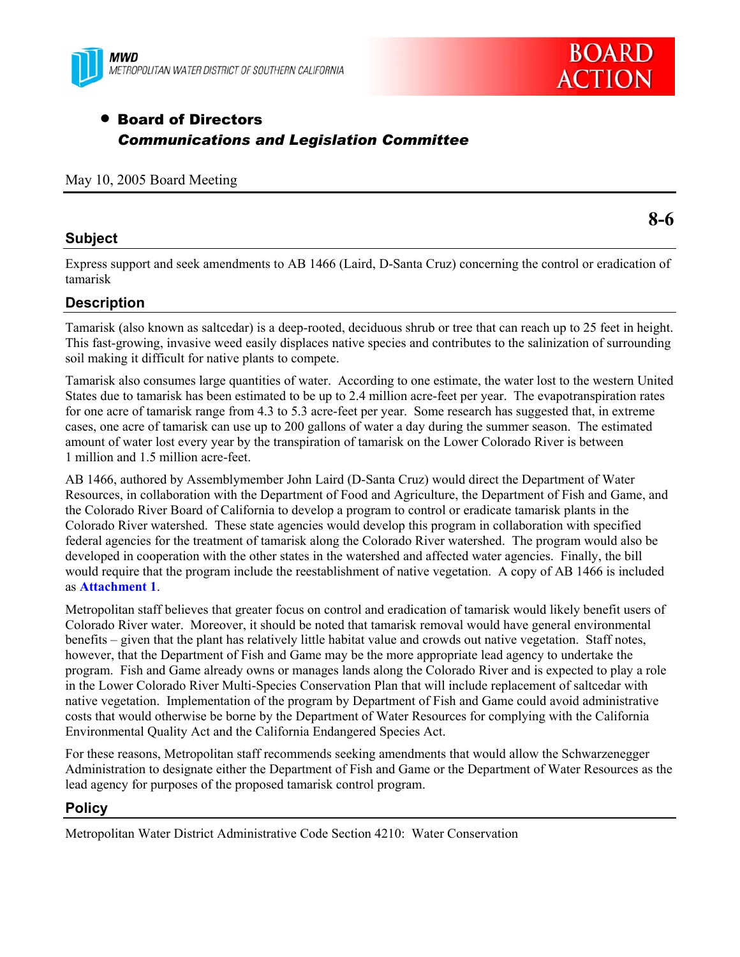



# • Board of Directors *Communications and Legislation Committee*

#### May 10, 2005 Board Meeting

## **Subject**

Express support and seek amendments to AB 1466 (Laird, D-Santa Cruz) concerning the control or eradication of tamarisk

## **Description**

Tamarisk (also known as saltcedar) is a deep-rooted, deciduous shrub or tree that can reach up to 25 feet in height. This fast-growing, invasive weed easily displaces native species and contributes to the salinization of surrounding soil making it difficult for native plants to compete.

Tamarisk also consumes large quantities of water. According to one estimate, the water lost to the western United States due to tamarisk has been estimated to be up to 2.4 million acre-feet per year. The evapotranspiration rates for one acre of tamarisk range from 4.3 to 5.3 acre-feet per year. Some research has suggested that, in extreme cases, one acre of tamarisk can use up to 200 gallons of water a day during the summer season. The estimated amount of water lost every year by the transpiration of tamarisk on the Lower Colorado River is between 1 million and 1.5 million acre-feet.

AB 1466, authored by Assemblymember John Laird (D-Santa Cruz) would direct the Department of Water Resources, in collaboration with the Department of Food and Agriculture, the Department of Fish and Game, and the Colorado River Board of California to develop a program to control or eradicate tamarisk plants in the Colorado River watershed. These state agencies would develop this program in collaboration with specified federal agencies for the treatment of tamarisk along the Colorado River watershed. The program would also be developed in cooperation with the other states in the watershed and affected water agencies. Finally, the bill would require that the program include the reestablishment of native vegetation. A copy of AB 1466 is included as **Attachment 1**.

Metropolitan staff believes that greater focus on control and eradication of tamarisk would likely benefit users of Colorado River water. Moreover, it should be noted that tamarisk removal would have general environmental benefits – given that the plant has relatively little habitat value and crowds out native vegetation. Staff notes, however, that the Department of Fish and Game may be the more appropriate lead agency to undertake the program. Fish and Game already owns or manages lands along the Colorado River and is expected to play a role in the Lower Colorado River Multi-Species Conservation Plan that will include replacement of saltcedar with native vegetation. Implementation of the program by Department of Fish and Game could avoid administrative costs that would otherwise be borne by the Department of Water Resources for complying with the California Environmental Quality Act and the California Endangered Species Act.

For these reasons, Metropolitan staff recommends seeking amendments that would allow the Schwarzenegger Administration to designate either the Department of Fish and Game or the Department of Water Resources as the lead agency for purposes of the proposed tamarisk control program.

## **Policy**

Metropolitan Water District Administrative Code Section 4210: Water Conservation

**8-6**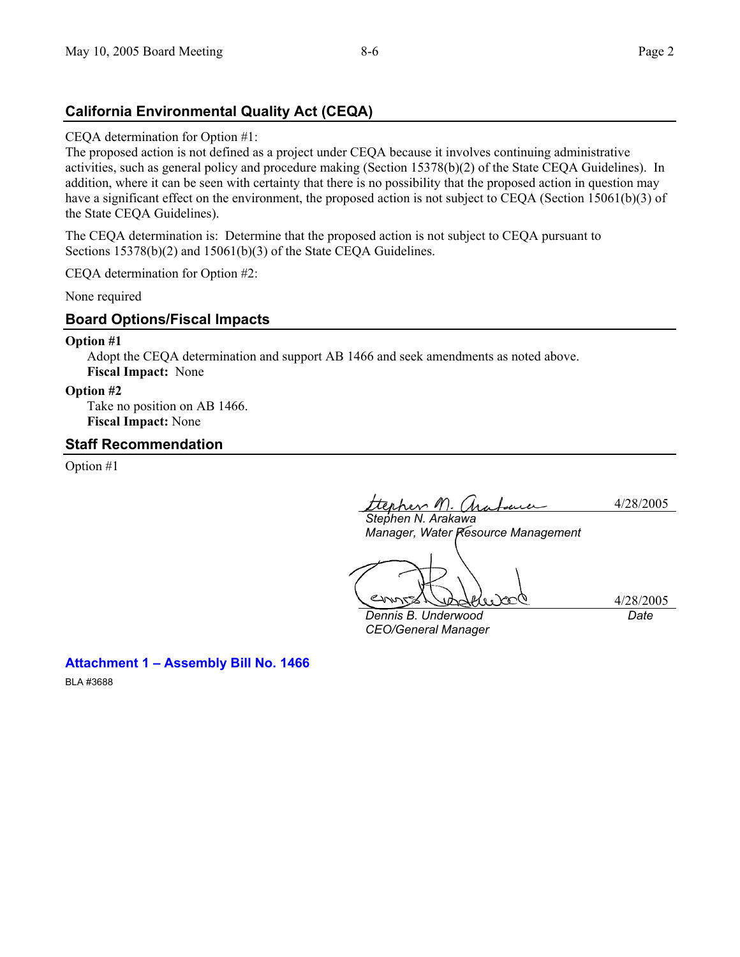## **California Environmental Quality Act (CEQA)**

#### CEQA determination for Option #1:

The proposed action is not defined as a project under CEQA because it involves continuing administrative activities, such as general policy and procedure making (Section 15378(b)(2) of the State CEQA Guidelines). In addition, where it can be seen with certainty that there is no possibility that the proposed action in question may have a significant effect on the environment, the proposed action is not subject to CEQA (Section 15061(b)(3) of the State CEQA Guidelines).

The CEQA determination is: Determine that the proposed action is not subject to CEQA pursuant to Sections 15378(b)(2) and 15061(b)(3) of the State CEQA Guidelines.

CEQA determination for Option #2:

None required

## **Board Options/Fiscal Impacts**

#### **Option #1**

Adopt the CEQA determination and support AB 1466 and seek amendments as noted above. **Fiscal Impact:** None

#### **Option #2**

Take no position on AB 1466. **Fiscal Impact:** None

**Attachment 1 – Assembly Bill No. 1466** 

## **Staff Recommendation**

Option #1

BLA #3688

ttephen M. Arafauce 4/28/2005

*Stephen N. Arakawa Manager, Water Resource Management* 

4/28/2005

*Dennis B. Underwood CEO/General Manager* 

*Date*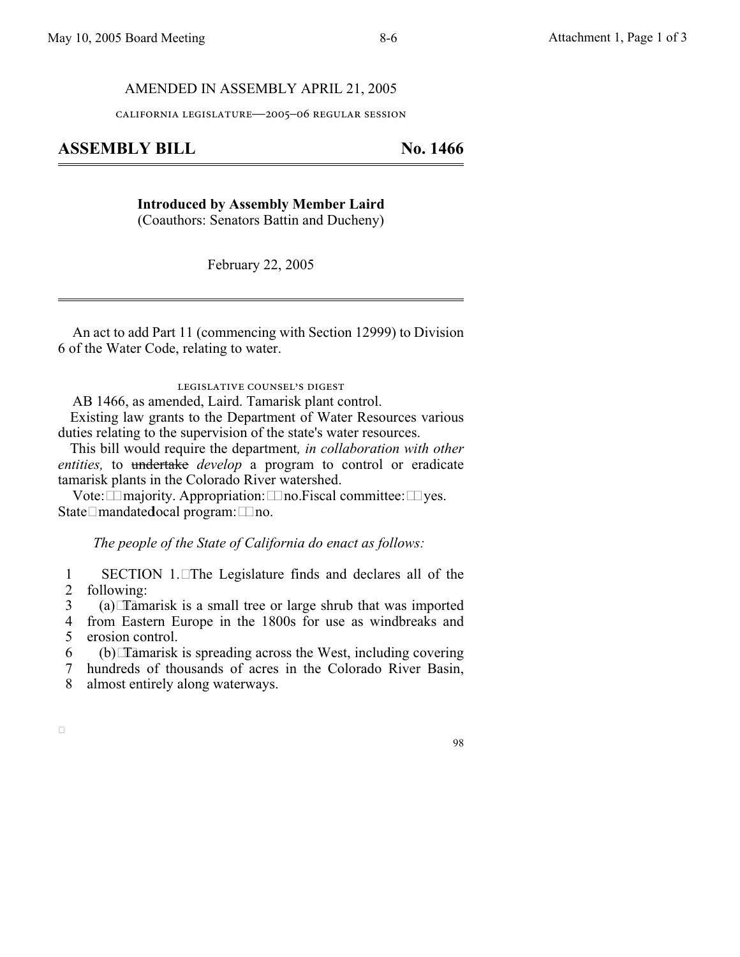#### AMENDED IN ASSEMBLY APRIL 21, 2005

california legislature—2005–06 regular session

## **ASSEMBLY BILL No. 1466**

**Introduced by Assembly Member Laird** (Coauthors: Senators Battin and Ducheny)

February 22, 2005

An act to add Part 11 (commencing with Section 12999) to Division 6 of the Water Code, relating to water.

legislative counsel's digest

AB 1466, as amended, Laird. Tamarisk plant control.

Existing law grants to the Department of Water Resources various duties relating to the supervision of the state's water resources.

This bill would require the department*, in collaboration with other entities*, to undertake *develop* a program to control or eradicate tamarisk plants in the Colorado River watershed.

Vote:  $\Box$  majority. Appropriation:  $\Box$  no. Fiscal committee:  $\Box$  yes. State $\Box$ mandated ocal program:  $\Box$  no.

*The people of the State of California do enact as follows:*

1 2 SECTION 1.The Legislature finds and declares all of the following:

3 (a)Tamarisk is a small tree or large shrub that was imported

4 5 from Eastern Europe in the 1800s for use as windbreaks and erosion control.

6  $(b)$  Tamarisk is spreading across the West, including covering

7 8 hundreds of thousands of acres in the Colorado River Basin, almost entirely along waterways.

 $\Box$ 

98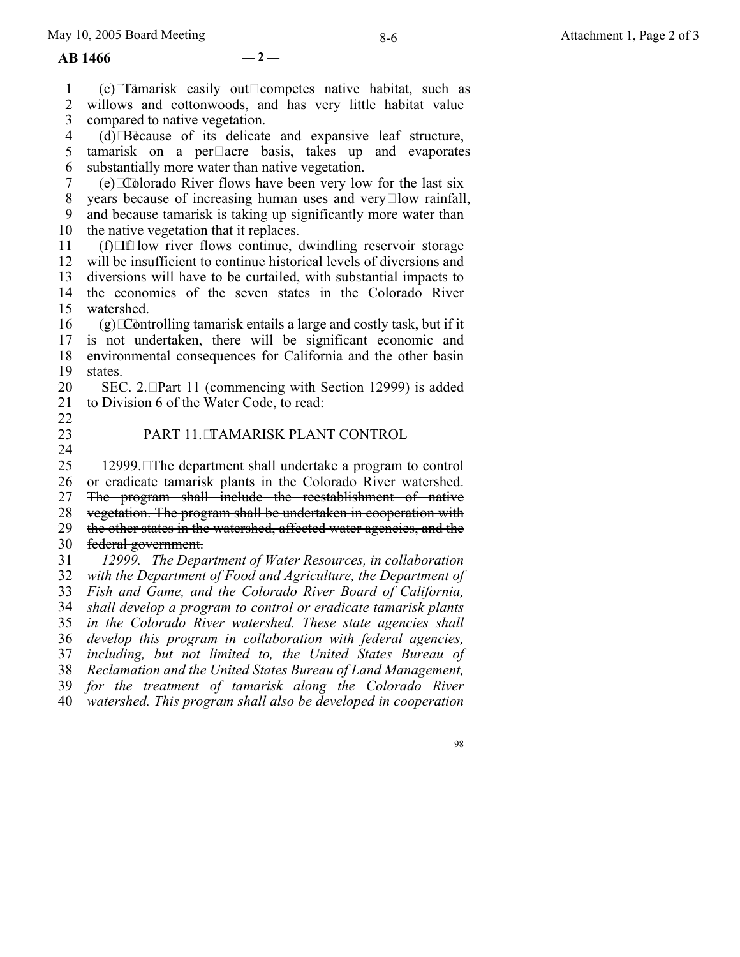**AB 1466 — 2 —**

1 2 3 4 5 tamarisk on a per $\square$ acre basis, takes up and evaporates 6 7 8 9 10 11 12 13 14 15 16 17 18 19 20 21 22 23 24 25 26 27 28 29 30 31 32 33 34 35 36 37 38 39 40  $(c)$ Tamarisk easily out $\Box$ competes native habitat, such as willows and cottonwoods, and has very little habitat value compared to native vegetation. (d)Because of its delicate and expansive leaf structure, substantially more water than native vegetation.  $(e)$  Colorado River flows have been very low for the last six years because of increasing human uses and very  $\Box$  low rainfall, and because tamarisk is taking up significantly more water than the native vegetation that it replaces.  $(f)$ If low river flows continue, dwindling reservoir storage will be insufficient to continue historical levels of diversions and diversions will have to be curtailed, with substantial impacts to the economies of the seven states in the Colorado River watershed.  $(g)$  Controlling tamarisk entails a large and costly task, but if it is not undertaken, there will be significant economic and environmental consequences for California and the other basin states. SEC. 2. Part 11 (commencing with Section 12999) is added to Division 6 of the Water Code, to read: PART 11. TAMARISK PLANT CONTROL 12999. The department shall undertake a program to control or eradicate tamarisk plants in the Colorado River watershed. The program shall include the reestablishment of native vegetation. The program shall be undertaken in cooperation with the other states in the watershed, affected water agencies, and the federal government. *12999. The Department of Water Resources, in collaboration with the Department of Food and Agriculture, the Department of Fish and Game, and the Colorado River Board of California, shall develop a program to control or eradicate tamarisk plants in the Colorado River watershed. These state agencies shall develop this program in collaboration with federal agencies, including, but not limited to, the United States Bureau of Reclamation and the United States Bureau of Land Management, for the treatment of tamarisk along the Colorado River watershed. This program shall also be developed in cooperation*

98